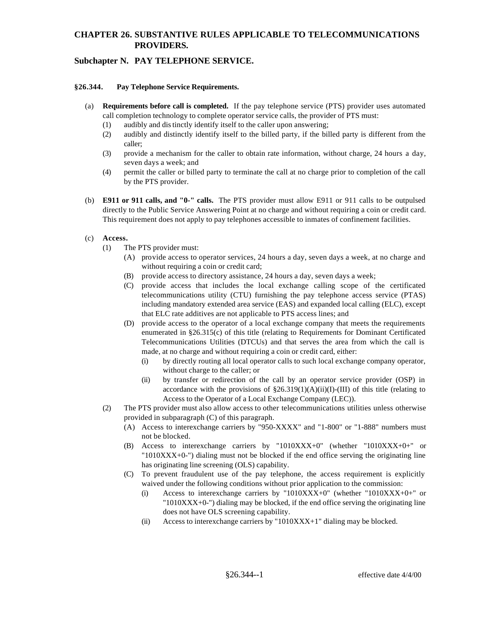# **CHAPTER 26. SUBSTANTIVE RULES APPLICABLE TO TELECOMMUNICATIONS PROVIDERS.**

## **Subchapter N. PAY TELEPHONE SERVICE.**

#### **§26.344. Pay Telephone Service Requirements.**

- (a) **Requirements before call is completed.** If the pay telephone service (PTS) provider uses automated call completion technology to complete operator service calls, the provider of PTS must:
	- (1) audibly and dis tinctly identify itself to the caller upon answering;
	- (2) audibly and distinctly identify itself to the billed party, if the billed party is different from the caller;
	- (3) provide a mechanism for the caller to obtain rate information, without charge, 24 hours a day, seven days a week; and
	- (4) permit the caller or billed party to terminate the call at no charge prior to completion of the call by the PTS provider.
- (b) **E911 or 911 calls, and "0-" calls.** The PTS provider must allow E911 or 911 calls to be outpulsed directly to the Public Service Answering Point at no charge and without requiring a coin or credit card. This requirement does not apply to pay telephones accessible to inmates of confinement facilities.

#### (c) **Access.**

- (1) The PTS provider must:
	- (A) provide access to operator services, 24 hours a day, seven days a week, at no charge and without requiring a coin or credit card;
	- (B) provide access to directory assistance, 24 hours a day, seven days a week;
	- (C) provide access that includes the local exchange calling scope of the certificated telecommunications utility (CTU) furnishing the pay telephone access service (PTAS) including mandatory extended area service (EAS) and expanded local calling (ELC), except that ELC rate additives are not applicable to PTS access lines; and
	- (D) provide access to the operator of a local exchange company that meets the requirements enumerated in §26.315(c) of this title (relating to Requirements for Dominant Certificated Telecommunications Utilities (DTCUs) and that serves the area from which the call is made, at no charge and without requiring a coin or credit card, either:
		- (i) by directly routing all local operator calls to such local exchange company operator, without charge to the caller; or
		- (ii) by transfer or redirection of the call by an operator service provider (OSP) in accordance with the provisions of  $\S26.319(1)(A)(ii)(I)$ -(III) of this title (relating to Access to the Operator of a Local Exchange Company (LEC)).
- (2) The PTS provider must also allow access to other telecommunications utilities unless otherwise provided in subparagraph (C) of this paragraph.
	- (A) Access to interexchange carriers by "950-XXXX" and "1-800" or "1-888" numbers must not be blocked.
	- (B) Access to interexchange carriers by "1010XXX+0" (whether "1010XXX+0+" or "1010XXX+0-") dialing must not be blocked if the end office serving the originating line has originating line screening (OLS) capability.
	- (C) To prevent fraudulent use of the pay telephone, the access requirement is explicitly waived under the following conditions without prior application to the commission:
		- (i) Access to interexchange carriers by "1010XXX+0" (whether "1010XXX+0+" or "1010XXX+0-") dialing may be blocked, if the end office serving the originating line does not have OLS screening capability.
		- (ii) Access to interexchange carriers by " $1010XXX+1$ " dialing may be blocked.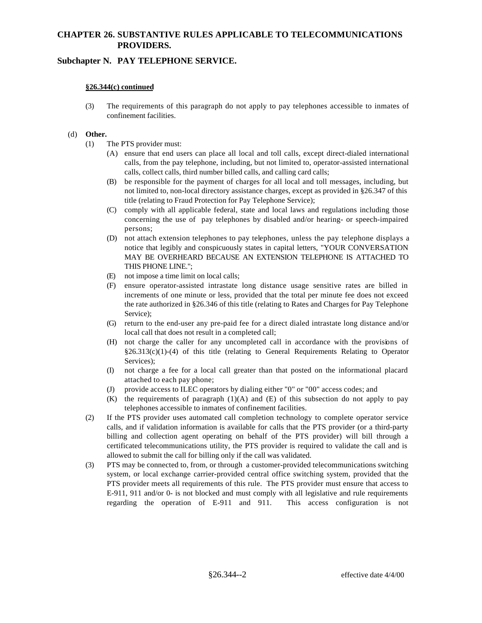# **CHAPTER 26. SUBSTANTIVE RULES APPLICABLE TO TELECOMMUNICATIONS PROVIDERS.**

## **Subchapter N. PAY TELEPHONE SERVICE.**

#### **§26.344(c) continued**

(3) The requirements of this paragraph do not apply to pay telephones accessible to inmates of confinement facilities.

### (d) **Other.**

- (1) The PTS provider must:
	- (A) ensure that end users can place all local and toll calls, except direct-dialed international calls, from the pay telephone, including, but not limited to, operator-assisted international calls, collect calls, third number billed calls, and calling card calls;
	- (B) be responsible for the payment of charges for all local and toll messages, including, but not limited to, non-local directory assistance charges, except as provided in §26.347 of this title (relating to Fraud Protection for Pay Telephone Service);
	- (C) comply with all applicable federal, state and local laws and regulations including those concerning the use of pay telephones by disabled and/or hearing- or speech-impaired persons;
	- (D) not attach extension telephones to pay telephones, unless the pay telephone displays a notice that legibly and conspicuously states in capital letters, "YOUR CONVERSATION MAY BE OVERHEARD BECAUSE AN EXTENSION TELEPHONE IS ATTACHED TO THIS PHONE LINE.";
	- (E) not impose a time limit on local calls;
	- (F) ensure operator-assisted intrastate long distance usage sensitive rates are billed in increments of one minute or less, provided that the total per minute fee does not exceed the rate authorized in §26.346 of this title (relating to Rates and Charges for Pay Telephone Service);
	- (G) return to the end-user any pre-paid fee for a direct dialed intrastate long distance and/or local call that does not result in a completed call;
	- (H) not charge the caller for any uncompleted call in accordance with the provisions of  $§26.313(c)(1)-(4)$  of this title (relating to General Requirements Relating to Operator Services);
	- (I) not charge a fee for a local call greater than that posted on the informational placard attached to each pay phone;
	- (J) provide access to ILEC operators by dialing either "0" or "00" access codes; and
	- $(K)$  the requirements of paragraph  $(1)(A)$  and  $(E)$  of this subsection do not apply to pay telephones accessible to inmates of confinement facilities.
- (2) If the PTS provider uses automated call completion technology to complete operator service calls, and if validation information is available for calls that the PTS provider (or a third-party billing and collection agent operating on behalf of the PTS provider) will bill through a certificated telecommunications utility, the PTS provider is required to validate the call and is allowed to submit the call for billing only if the call was validated.
- (3) PTS may be connected to, from, or through a customer-provided telecommunications switching system, or local exchange carrier-provided central office switching system, provided that the PTS provider meets all requirements of this rule. The PTS provider must ensure that access to E-911, 911 and/or 0- is not blocked and must comply with all legislative and rule requirements regarding the operation of E-911 and 911. This access configuration is not